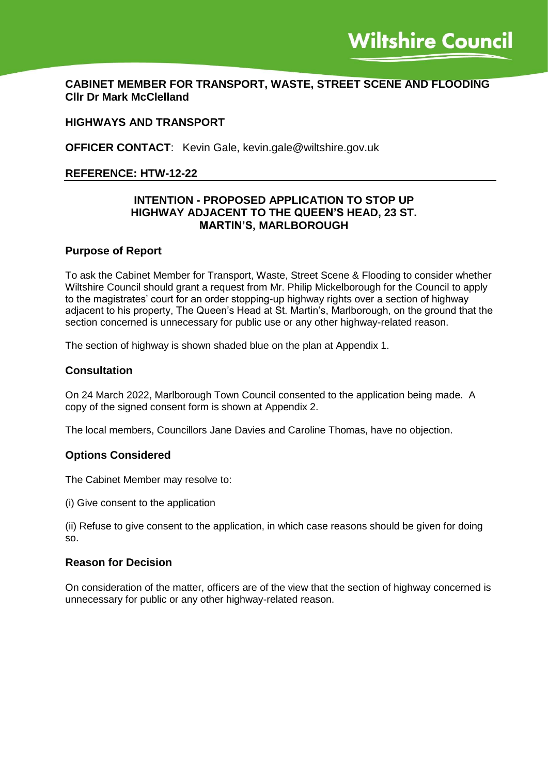# **CABINET MEMBER FOR TRANSPORT, WASTE, STREET SCENE AND FLOODING Cllr Dr Mark McClelland**

# **HIGHWAYS AND TRANSPORT**

**OFFICER CONTACT**: Kevin Gale, kevin.gale@wiltshire.gov.uk

#### **REFERENCE: HTW-12-22**

## **INTENTION - PROPOSED APPLICATION TO STOP UP HIGHWAY ADJACENT TO THE QUEEN'S HEAD, 23 ST. MARTIN'S, MARLBOROUGH**

#### **Purpose of Report**

To ask the Cabinet Member for Transport, Waste, Street Scene & Flooding to consider whether Wiltshire Council should grant a request from Mr. Philip Mickelborough for the Council to apply to the magistrates' court for an order stopping-up highway rights over a section of highway adjacent to his property, The Queen's Head at St. Martin's, Marlborough, on the ground that the section concerned is unnecessary for public use or any other highway-related reason.

The section of highway is shown shaded blue on the plan at Appendix 1.

#### **Consultation**

On 24 March 2022, Marlborough Town Council consented to the application being made. A copy of the signed consent form is shown at Appendix 2.

The local members, Councillors Jane Davies and Caroline Thomas, have no objection.

#### **Options Considered**

The Cabinet Member may resolve to:

(i) Give consent to the application

(ii) Refuse to give consent to the application, in which case reasons should be given for doing so.

#### **Reason for Decision**

On consideration of the matter, officers are of the view that the section of highway concerned is unnecessary for public or any other highway-related reason.